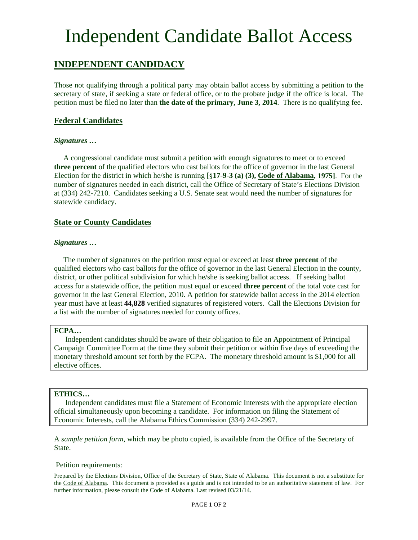# Independent Candidate Ballot Access

## **INDEPENDENT CANDIDACY**

Those not qualifying through a political party may obtain ballot access by submitting a petition to the secretary of state, if seeking a state or federal office, or to the probate judge if the office is local. The petition must be filed no later than **the date of the primary, June 3, 2014**. There is no qualifying fee.

### **Federal Candidates**

#### *Signatures …*

 A congressional candidate must submit a petition with enough signatures to meet or to exceed **three percent** of the qualified electors who cast ballots for the office of governor in the last General Election for the district in which he/she is running [§**17-9-3 (a) (3), Code of Alabama, 1975]**. For the number of signatures needed in each district, call the Office of Secretary of State's Elections Division at (334) 242-7210. Candidates seeking a U.S. Senate seat would need the number of signatures for statewide candidacy.

### **State or County Candidates**

#### *Signatures …*

 The number of signatures on the petition must equal or exceed at least **three percent** of the qualified electors who cast ballots for the office of governor in the last General Election in the county, district, or other political subdivision for which he/she is seeking ballot access. If seeking ballot access for a statewide office, the petition must equal or exceed **three percent** of the total vote cast for governor in the last General Election, 2010. A petition for statewide ballot access in the 2014 election year must have at least **44,828** verified signatures of registered voters. Call the Elections Division for a list with the number of signatures needed for county offices.

#### **FCPA…**

 Independent candidates should be aware of their obligation to file an Appointment of Principal Campaign Committee Form at the time they submit their petition or within five days of exceeding the monetary threshold amount set forth by the FCPA. The monetary threshold amount is \$1,000 for all elective offices.

#### **ETHICS…**

 Independent candidates must file a Statement of Economic Interests with the appropriate election official simultaneously upon becoming a candidate. For information on filing the Statement of Economic Interests, call the Alabama Ethics Commission (334) 242-2997.

A *sample petition form*, which may be photo copied, is available from the Office of the Secretary of State.

#### Petition requirements:

Prepared by the Elections Division, Office of the Secretary of State, State of Alabama. This document is not a substitute for the Code of Alabama. This document is provided as a guide and is not intended to be an authoritative statement of law. For further information, please consult the Code of Alabama. Last revised 03/21/14.